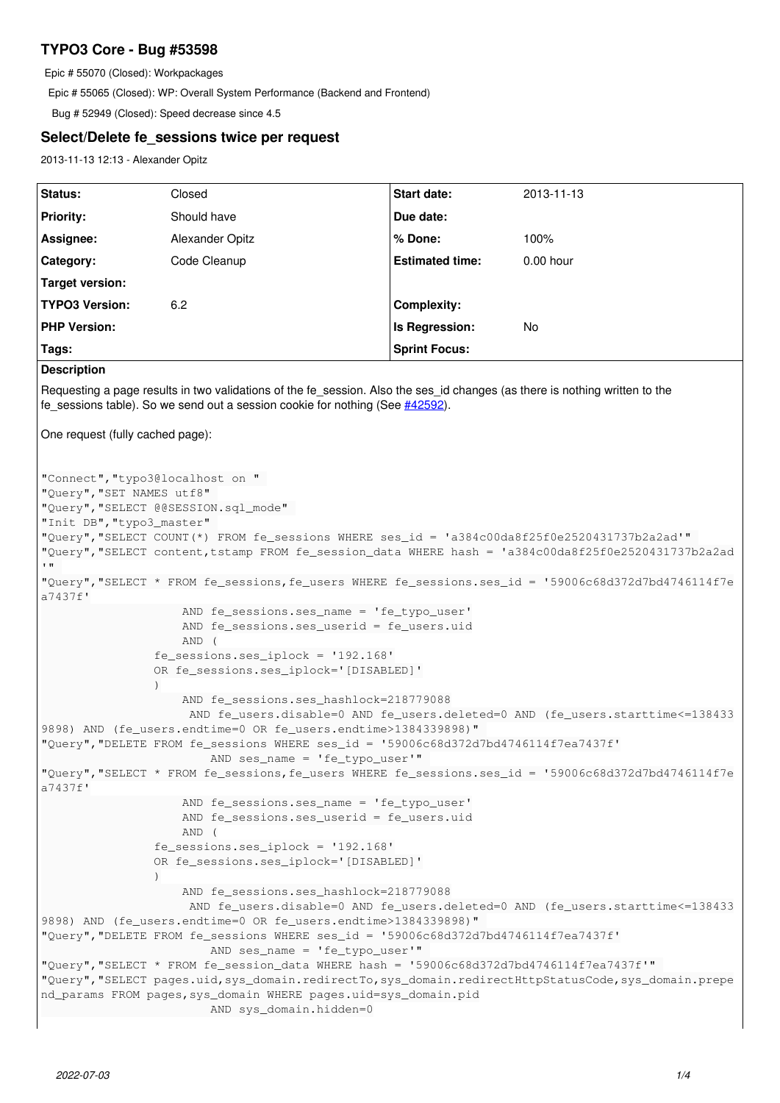# **TYPO3 Core - Bug #53598**

Epic # 55070 (Closed): Workpackages

Epic # 55065 (Closed): WP: Overall System Performance (Backend and Frontend)

Bug # 52949 (Closed): Speed decrease since 4.5

# **Select/Delete fe\_sessions twice per request**

2013-11-13 12:13 - Alexander Opitz

| Status:                                                                                                                                                                                                                                                                                                                                                                                                                   | Closed                                                                                                                                                                                                                                                                                                       | Start date:            | 2013-11-13 |
|---------------------------------------------------------------------------------------------------------------------------------------------------------------------------------------------------------------------------------------------------------------------------------------------------------------------------------------------------------------------------------------------------------------------------|--------------------------------------------------------------------------------------------------------------------------------------------------------------------------------------------------------------------------------------------------------------------------------------------------------------|------------------------|------------|
| <b>Priority:</b>                                                                                                                                                                                                                                                                                                                                                                                                          | Should have                                                                                                                                                                                                                                                                                                  | Due date:              |            |
| Assignee:                                                                                                                                                                                                                                                                                                                                                                                                                 | Alexander Opitz                                                                                                                                                                                                                                                                                              | % Done:                | 100%       |
| Category:                                                                                                                                                                                                                                                                                                                                                                                                                 | Code Cleanup                                                                                                                                                                                                                                                                                                 | <b>Estimated time:</b> | 0.00 hour  |
| <b>Target version:</b>                                                                                                                                                                                                                                                                                                                                                                                                    |                                                                                                                                                                                                                                                                                                              |                        |            |
| <b>TYPO3 Version:</b>                                                                                                                                                                                                                                                                                                                                                                                                     | 6.2                                                                                                                                                                                                                                                                                                          | <b>Complexity:</b>     |            |
| <b>PHP Version:</b>                                                                                                                                                                                                                                                                                                                                                                                                       |                                                                                                                                                                                                                                                                                                              | Is Regression:         | No         |
| Tags:                                                                                                                                                                                                                                                                                                                                                                                                                     |                                                                                                                                                                                                                                                                                                              | <b>Sprint Focus:</b>   |            |
| <b>Description</b>                                                                                                                                                                                                                                                                                                                                                                                                        |                                                                                                                                                                                                                                                                                                              |                        |            |
| Requesting a page results in two validations of the fe_session. Also the ses_id changes (as there is nothing written to the<br>fe_sessions table). So we send out a session cookie for nothing (See #42592).                                                                                                                                                                                                              |                                                                                                                                                                                                                                                                                                              |                        |            |
| One request (fully cached page):                                                                                                                                                                                                                                                                                                                                                                                          |                                                                                                                                                                                                                                                                                                              |                        |            |
|                                                                                                                                                                                                                                                                                                                                                                                                                           |                                                                                                                                                                                                                                                                                                              |                        |            |
| "Connect", "typo3@localhost on "<br>"Query", "SET NAMES utf8"<br>"Query", "SELECT @@SESSION.sql_mode"<br>"Init DB", "typo3_master"<br>"Query", "SELECT COUNT(*) FROM fe_sessions WHERE ses_id = 'a384c00da8f25f0e2520431737b2a2ad'"<br>"Query", "SELECT content, tstamp FROM fe_session_data WHERE hash = 'a384c00da8f25f0e2520431737b2a2ad<br>$\blacksquare$                                                             |                                                                                                                                                                                                                                                                                                              |                        |            |
| "Query", "SELECT * FROM fe_sessions, fe_users WHERE fe_sessions.ses_id = '59006c68d372d7bd4746114f7e<br>a7437f'                                                                                                                                                                                                                                                                                                           |                                                                                                                                                                                                                                                                                                              |                        |            |
|                                                                                                                                                                                                                                                                                                                                                                                                                           | AND fe_sessions.ses_name = 'fe_typo_user'<br>AND fe_sessions.ses_userid = fe_users.uid<br>AND (<br>fe_sessions.ses_iplock = '192.168'<br>OR fe_sessions.ses_iplock='[DISABLED]'<br>AND fe_sessions.ses_hashlock=218779088<br>AND fe_users.disable=0 AND fe_users.deleted=0 AND (fe_users.starttime <= 138433 |                        |            |
| 9898) AND (fe_users.endtime=0 OR fe_users.endtime>1384339898)"<br>"Query", "DELETE FROM fe_sessions WHERE ses_id = '59006c68d372d7bd4746114f7ea7437f'<br>AND ses_name = 'fe_typo_user'"                                                                                                                                                                                                                                   |                                                                                                                                                                                                                                                                                                              |                        |            |
| "Query", "SELECT * FROM fe_sessions, fe_users WHERE fe_sessions.ses_id = '59006c68d372d7bd4746114f7e                                                                                                                                                                                                                                                                                                                      |                                                                                                                                                                                                                                                                                                              |                        |            |
| a7437f'                                                                                                                                                                                                                                                                                                                                                                                                                   | AND fe_sessions.ses_name = 'fe_typo_user'<br>AND fe_sessions.ses_userid = fe_users.uid<br>AND (<br>$fe\_sessions.ses\_iplock = '192.168'$<br>OR fe_sessions.ses_iplock='[DISABLED]'<br>AND fe_sessions.ses_hashlock=218779088                                                                                |                        |            |
| AND fe_users.disable=0 AND fe_users.deleted=0 AND (fe_users.starttime <= 138433<br>9898) AND (fe_users.endtime=0 OR fe_users.endtime>1384339898)"                                                                                                                                                                                                                                                                         |                                                                                                                                                                                                                                                                                                              |                        |            |
| "Query", "DELETE FROM fe_sessions WHERE ses_id = '59006c68d372d7bd4746114f7ea7437f'<br>AND ses_name = 'fe_typo_user'"<br>"Query", "SELECT * FROM fe_session_data WHERE hash = '59006c68d372d7bd4746114f7ea7437f'"<br>"Query", "SELECT pages.uid, sys_domain.redirectTo, sys_domain.redirectHttpStatusCode, sys_domain.prepe<br>nd_params FROM pages, sys_domain WHERE pages.uid=sys_domain.pid<br>AND sys_domain.hidden=0 |                                                                                                                                                                                                                                                                                                              |                        |            |
|                                                                                                                                                                                                                                                                                                                                                                                                                           |                                                                                                                                                                                                                                                                                                              |                        |            |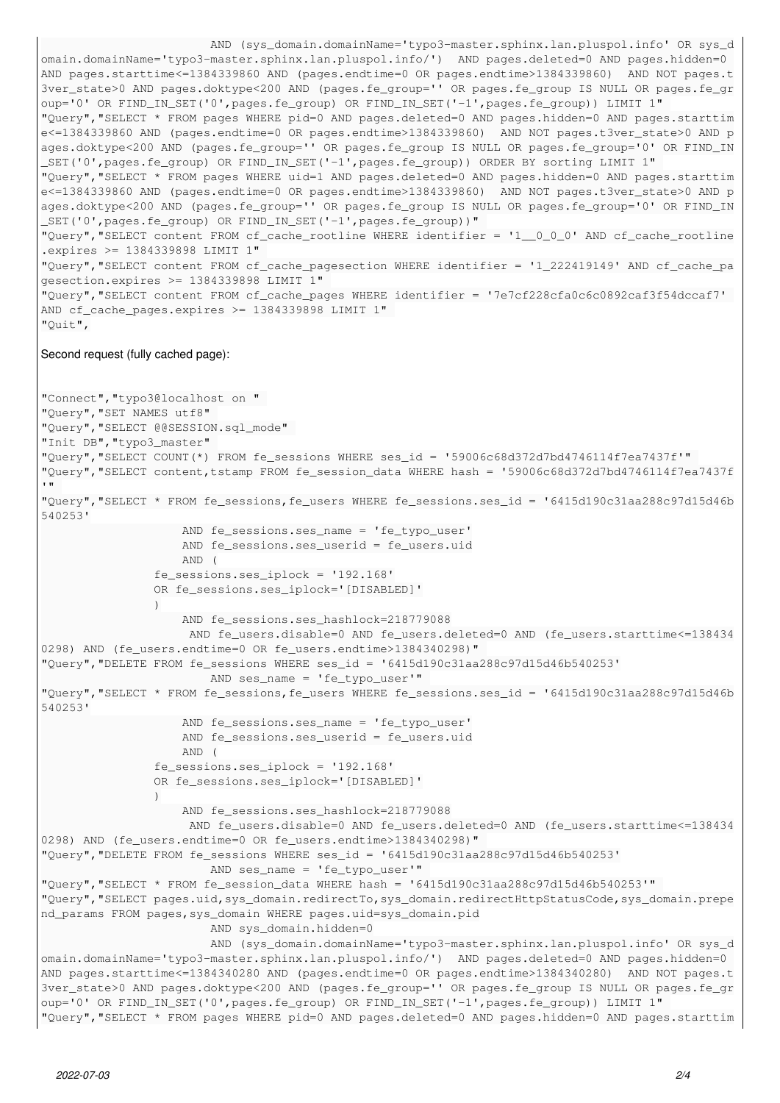```
                        AND (sys_domain.domainName='typo3-master.sphinx.lan.pluspol.info' OR sys_d
omain.domainName='typo3-master.sphinx.lan.pluspol.info/')  AND pages.deleted=0 AND pages.hidden=0 
AND pages.starttime<=1384339860 AND (pages.endtime=0 OR pages.endtime>1384339860)  AND NOT pages.t
3ver_state>0 AND pages.doktype<200 AND (pages.fe_group='' OR pages.fe_group IS NULL OR pages.fe_gr
oup='0' OR FIND_IN_SET('0',pages.fe_group) OR FIND_IN_SET('-1',pages.fe_group)) LIMIT 1" 
"Query","SELECT * FROM pages WHERE pid=0 AND pages.deleted=0 AND pages.hidden=0 AND pages.starttim
e<=1384339860 AND (pages.endtime=0 OR pages.endtime>1384339860)  AND NOT pages.t3ver_state>0 AND p
ages.doktype<200 AND (pages.fe_group='' OR pages.fe_group IS NULL OR pages.fe_group='0' OR FIND_IN
_SET('0',pages.fe_group) OR FIND_IN_SET('-1',pages.fe_group)) ORDER BY sorting LIMIT 1" 
"Query","SELECT * FROM pages WHERE uid=1 AND pages.deleted=0 AND pages.hidden=0 AND pages.starttim
e<=1384339860 AND (pages.endtime=0 OR pages.endtime>1384339860)  AND NOT pages.t3ver_state>0 AND p
ages.doktype<200 AND (pages.fe_group='' OR pages.fe_group IS NULL OR pages.fe_group='0' OR FIND_IN
_SET('0',pages.fe_group) OR FIND_IN_SET('-1',pages.fe_group))" 
"Query","SELECT content FROM cf_cache_rootline WHERE identifier = '1__0_0_0' AND cf_cache_rootline
.expires >= 1384339898 LIMIT 1" 
"Query","SELECT content FROM cf_cache_pagesection WHERE identifier = '1_222419149' AND cf_cache_pa
gesection.expires >= 1384339898 LIMIT 1" 
"Query","SELECT content FROM cf_cache_pages WHERE identifier = '7e7cf228cfa0c6c0892caf3f54dccaf7' 
AND cf_cache_pages.expires >= 1384339898 LIMIT 1" 
"Quit",
Second request (fully cached page):
"Connect","typo3@localhost on " 
"Query","SET NAMES utf8" 
"Query","SELECT @@SESSION.sql_mode" 
"Init DB","typo3_master" 
"Query","SELECT COUNT(*) FROM fe_sessions WHERE ses_id = '59006c68d372d7bd4746114f7ea7437f'" 
"Query","SELECT content,tstamp FROM fe_session_data WHERE hash = '59006c68d372d7bd4746114f7ea7437f
'" 
"Query","SELECT * FROM fe_sessions,fe_users WHERE fe_sessions.ses_id = '6415d190c31aa288c97d15d46b
540253'
                                          AND fe_sessions.ses_name = 'fe_typo_user'
                                          AND fe_sessions.ses_userid = fe_users.uid
                                          AND (
                                 fe_sessions.ses_iplock = '192.168'
                                 OR fe_sessions.ses_iplock='[DISABLED]'
\overline{\phantom{a}}                    AND fe_sessions.ses_hashlock=218779088
                                            AND fe_users.disable=0 AND fe_users.deleted=0 AND (fe_users.starttime<=138434
0298) AND (fe_users.endtime=0 OR fe_users.endtime>1384340298)" 
"Query","DELETE FROM fe_sessions WHERE ses_id = '6415d190c31aa288c97d15d46b540253'
                                                  AND ses_name = 'fe_typo_user'" 
"Query","SELECT * FROM fe_sessions,fe_users WHERE fe_sessions.ses_id = '6415d190c31aa288c97d15d46b
540253'
                                         AND fe_sessions.ses_name = 'fe_typo_user'
                                          AND fe_sessions.ses_userid = fe_users.uid
                                          AND (
                                 fe_sessions.ses_iplock = '192.168'
                                 OR fe_sessions.ses_iplock='[DISABLED]'
\overline{\phantom{a}}                    AND fe_sessions.ses_hashlock=218779088
                                           AND fe_users.disable=0 AND fe_users.deleted=0 AND (fe_users.starttime<=138434
0298) AND (fe_users.endtime=0 OR fe_users.endtime>1384340298)" 
"Query","DELETE FROM fe_sessions WHERE ses_id = '6415d190c31aa288c97d15d46b540253'
                                                  AND ses_name = 'fe_typo_user'" 
"Query","SELECT * FROM fe_session_data WHERE hash = '6415d190c31aa288c97d15d46b540253'" 
"Query","SELECT pages.uid,sys_domain.redirectTo,sys_domain.redirectHttpStatusCode,sys_domain.prepe
nd_params FROM pages,sys_domain WHERE pages.uid=sys_domain.pid
                                                  AND sys_domain.hidden=0
                                                  AND (sys_domain.domainName='typo3-master.sphinx.lan.pluspol.info' OR sys_d
omain.domainName='typo3-master.sphinx.lan.pluspol.info/')  AND pages.deleted=0 AND pages.hidden=0 
AND pages.starttime<=1384340280 AND (pages.endtime=0 OR pages.endtime>1384340280)  AND NOT pages.t
3ver_state>0 AND pages.doktype<200 AND (pages.fe_group='' OR pages.fe_group IS NULL OR pages.fe_gr
oup='0' OR FIND_IN_SET('0',pages.fe_group) OR FIND_IN_SET('-1',pages.fe_group)) LIMIT 1" 
"Query","SELECT * FROM pages WHERE pid=0 AND pages.deleted=0 AND pages.hidden=0 AND pages.starttim
```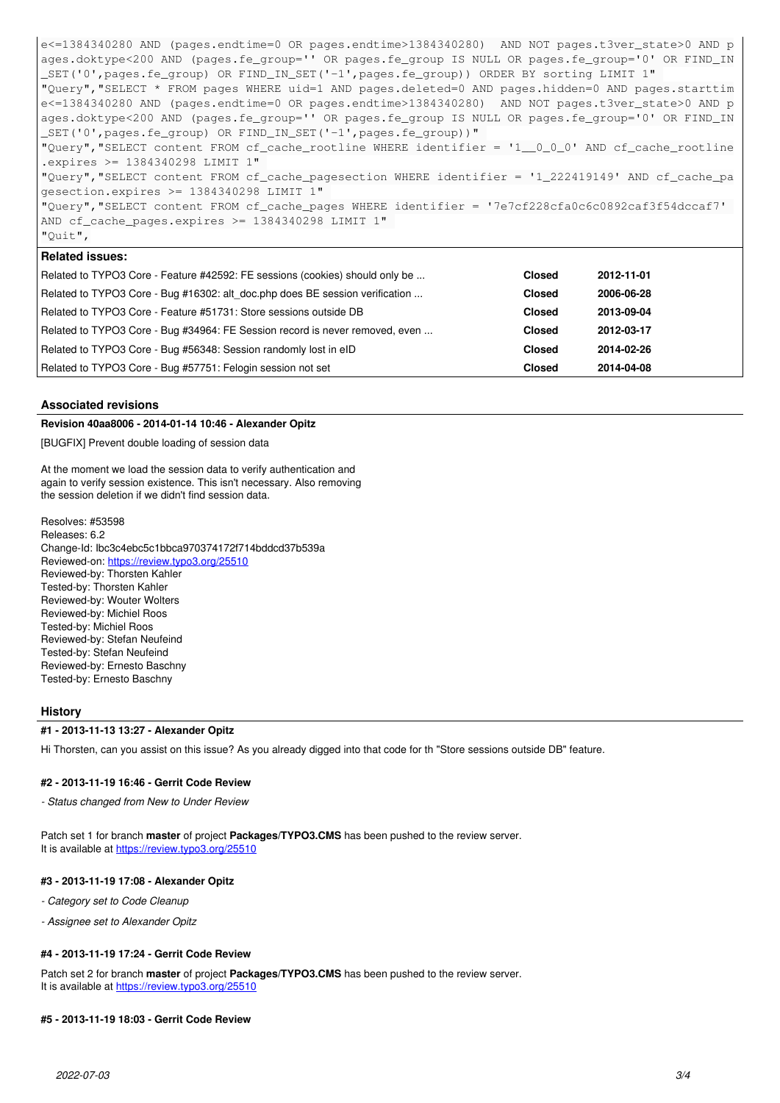e<=1384340280 AND (pages.endtime=0 OR pages.endtime>1384340280) AND NOT pages.t3ver\_state>0 AND p ages.doktype<200 AND (pages.fe\_group='' OR pages.fe\_group IS NULL OR pages.fe\_group='0' OR FIND\_IN \_SET('0',pages.fe\_group) OR FIND\_IN\_SET('-1',pages.fe\_group)) ORDER BY sorting LIMIT 1" "Query","SELECT \* FROM pages WHERE uid=1 AND pages.deleted=0 AND pages.hidden=0 AND pages.starttim e<=1384340280 AND (pages.endtime=0 OR pages.endtime>1384340280) AND NOT pages.t3ver\_state>0 AND p ages.doktype<200 AND (pages.fe\_group='' OR pages.fe\_group IS NULL OR pages.fe\_group='0' OR FIND\_IN \_SET('0',pages.fe\_group) OR FIND\_IN\_SET('-1',pages.fe\_group))" "Query","SELECT content FROM cf\_cache\_rootline WHERE identifier = '1\_\_0\_0\_0' AND cf\_cache\_rootline .expires >= 1384340298 LIMIT 1" "Query","SELECT content FROM cf\_cache\_pagesection WHERE identifier = '1\_222419149' AND cf\_cache\_pa gesection.expires >= 1384340298 LIMIT 1" "Query","SELECT content FROM cf\_cache\_pages WHERE identifier = '7e7cf228cfa0c6c0892caf3f54dccaf7' AND cf\_cache\_pages.expires >= 1384340298 LIMIT 1" "Quit", **Related issues:**

# Related to TYPO3 Core - Feature #42592: FE sessions (cookies) should only be ... **Closed 2012-11-01 Closed** Related to TYPO3 Core - Bug #16302: alt\_doc.php does BE session verification ... **Closed 2006-06-28** Related to TYPO3 Core - Feature #51731: Store sessions outside DB **Closed 2013-09-04** Related to TYPO3 Core - Bug #34964: FE Session record is never removed, even ... **Closed 2012-03-17** Related to TYPO3 Core - Bug #56348: Session randomly lost in eID **Closed 2014-02-26** Related to TYPO3 Core - Bug #57751: Felogin session not set **Closed 2014-04-08**

# **Associated revisions**

# **Revision 40aa8006 - 2014-01-14 10:46 - Alexander Opitz**

[BUGFIX] Prevent double loading of session data

At the moment we load the session data to verify authentication and again to verify session existence. This isn't necessary. Also removing the session deletion if we didn't find session data.

Resolves: #53598 Releases: 6.2 Change-Id: Ibc3c4ebc5c1bbca970374172f714bddcd37b539a Reviewed-on:<https://review.typo3.org/25510> Reviewed-by: Thorsten Kahler Tested-by: Thorsten Kahler Reviewed-by: Wouter Wolters Reviewed-by: Michiel Roos Tested-by: Michiel Roos Reviewed-by: Stefan Neufeind Tested-by: Stefan Neufeind Reviewed-by: Ernesto Baschny Tested-by: Ernesto Baschny

## **History**

## **#1 - 2013-11-13 13:27 - Alexander Opitz**

Hi Thorsten, can you assist on this issue? As you already digged into that code for th "Store sessions outside DB" feature.

#### **#2 - 2013-11-19 16:46 - Gerrit Code Review**

*- Status changed from New to Under Review*

Patch set 1 for branch **master** of project **Packages/TYPO3.CMS** has been pushed to the review server. It is available at <https://review.typo3.org/25510>

#### **#3 - 2013-11-19 17:08 - Alexander Opitz**

*- Category set to Code Cleanup*

*- Assignee set to Alexander Opitz*

# **#4 - 2013-11-19 17:24 - Gerrit Code Review**

Patch set 2 for branch **master** of project **Packages/TYPO3.CMS** has been pushed to the review server. It is available at <https://review.typo3.org/25510>

#### **#5 - 2013-11-19 18:03 - Gerrit Code Review**